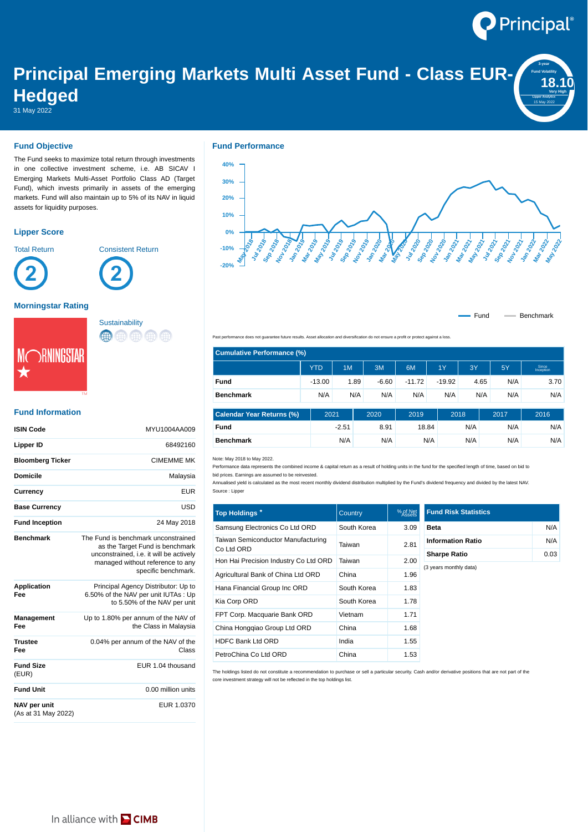

**3-year Fund Volatility 18.1 Lipper Analytics** 15 May 2022

# **Principal Emerging Markets Multi Asset Fund - Class EUR-Hedged**

31 May 2022

### **Fund Objective**

The Fund seeks to maximize total return through investments in one collective investment scheme, i.e. AB SICAV I Emerging Markets Multi-Asset Portfolio Class AD (Target Fund), which invests primarily in assets of the emerging markets. Fund will also maintain up to 5% of its NAV in liquid assets for liquidity purposes.

## **Lipper Score**



Total Return **Consistent Return** 





#### **Morningstar Rating**



# **Sustainability** (#) (#) (#) (#)

## **Fund Information**

| <b>ISIN Code</b>                    | MYU1004AA009                                                                                                                                                                 |
|-------------------------------------|------------------------------------------------------------------------------------------------------------------------------------------------------------------------------|
| <b>Lipper ID</b>                    | 68492160                                                                                                                                                                     |
| <b>Bloomberg Ticker</b>             | <b>CIMEMME MK</b>                                                                                                                                                            |
| <b>Domicile</b>                     | Malaysia                                                                                                                                                                     |
| Currency                            | <b>EUR</b>                                                                                                                                                                   |
| <b>Base Currency</b>                | USD                                                                                                                                                                          |
| <b>Fund Inception</b>               | 24 May 2018                                                                                                                                                                  |
| <b>Benchmark</b>                    | The Fund is benchmark unconstrained<br>as the Target Fund is benchmark<br>unconstrained, i.e. it will be actively<br>managed without reference to any<br>specific benchmark. |
| <b>Application</b><br>Fee           | Principal Agency Distributor: Up to<br>6.50% of the NAV per unit IUTAs: Up<br>to 5.50% of the NAV per unit                                                                   |
| Management<br>Fee                   | Up to 1.80% per annum of the NAV of<br>the Class in Malaysia                                                                                                                 |
| <b>Trustee</b><br>Fee               | 0.04% per annum of the NAV of the<br>Class                                                                                                                                   |
| <b>Fund Size</b><br>(EUR)           | EUR 1.04 thousand                                                                                                                                                            |
| <b>Fund Unit</b>                    | 0.00 million units                                                                                                                                                           |
| NAV per unit<br>(As at 31 May 2022) | EUR 1.0370                                                                                                                                                                   |



Fund - Benchmark

Past performance does not guarantee future results. Asset allocation and diversification do not ensure a profit or protect against a loss.

| <b>Cumulative Performance (%)</b> |            |         |         |          |          |      |      |                    |  |  |  |
|-----------------------------------|------------|---------|---------|----------|----------|------|------|--------------------|--|--|--|
|                                   | <b>YTD</b> | 1M      | 3M      | 6M       | 1Y       | 3Y   | 5Y   | Since<br>Inception |  |  |  |
| Fund                              | $-13.00$   | 1.89    | $-6.60$ | $-11.72$ | $-19.92$ | 4.65 | N/A  | 3.70               |  |  |  |
| <b>Benchmark</b>                  | N/A        | N/A     | N/A     | N/A      | N/A      | N/A  | N/A  | N/A                |  |  |  |
|                                   |            |         |         |          |          |      |      |                    |  |  |  |
| <b>Calendar Year Returns (%)</b>  | 2021       |         | 2020    | 2019     |          | 2018 | 2017 | 2016               |  |  |  |
| Fund                              |            | $-2.51$ | 8.91    |          | 18.84    | N/A  | N/A  | N/A                |  |  |  |
| <b>Benchmark</b>                  |            | N/A     | N/A     |          | N/A      | N/A  | N/A  | N/A                |  |  |  |

Note: May 2018 to May 2022.

Performance data represents the combined income & capital return as a result of holding units in the fund for the specified length of time, based on bid to bid prices. Earnings are assumed to be reinvested.

Annualised yield is calculated as the most recent monthly dividend distribution multiplied by the Fund's dividend frequency and divided by the latest NAV. Source : Lipper

| Top Holdings *                                   | Country     | % of Net<br>Assets | <b>Fund Risk Statistics</b> |      |
|--------------------------------------------------|-------------|--------------------|-----------------------------|------|
| Samsung Electronics Co Ltd ORD                   | South Korea | 3.09               | <b>Beta</b>                 | N/A  |
| Taiwan Semiconductor Manufacturing<br>Co Ltd ORD | Taiwan      | 2.81               | <b>Information Ratio</b>    | N/A  |
| Hon Hai Precision Industry Co Ltd ORD            | Taiwan      | 2.00               | <b>Sharpe Ratio</b>         | 0.03 |
| Agricultural Bank of China Ltd ORD               | China       | 1.96               | (3 years monthly data)      |      |
| Hana Financial Group Inc ORD                     | South Korea | 1.83               |                             |      |
| Kia Corp ORD                                     | South Korea | 1.78               |                             |      |
| FPT Corp. Macquarie Bank ORD                     | Vietnam     | 1.71               |                             |      |
| China Honggiao Group Ltd ORD                     | China       | 1.68               |                             |      |
| <b>HDFC Bank Ltd ORD</b>                         | India       | 1.55               |                             |      |
| PetroChina Co Ltd ORD                            | China       | 1.53               |                             |      |

The holdings listed do not constitute a recommendation to purchase or sell a particular security. Cash and/or derivative positions that are not part of the core investment strategy will not be reflected in the top holdings list.